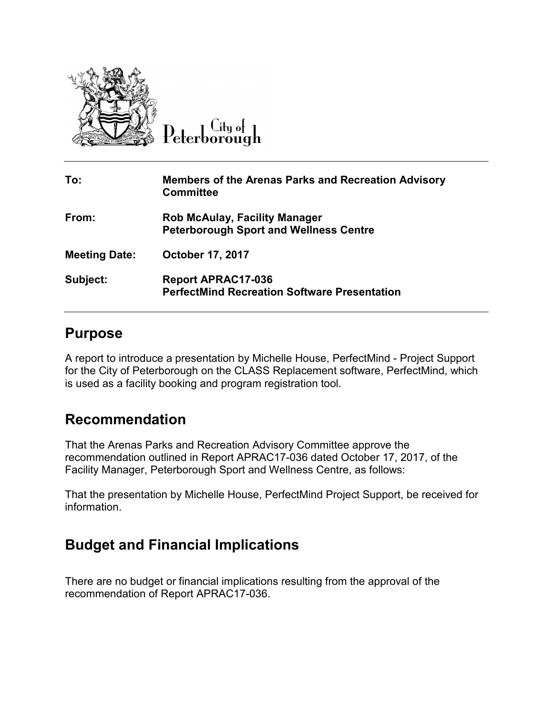

 $\overline{C}$ ity of Peterborough

| To:                  | <b>Members of the Arenas Parks and Recreation Advisory</b><br><b>Committee</b>        |
|----------------------|---------------------------------------------------------------------------------------|
| From:                | <b>Rob McAulay, Facility Manager</b><br><b>Peterborough Sport and Wellness Centre</b> |
| <b>Meeting Date:</b> | <b>October 17, 2017</b>                                                               |
| Subject:             | <b>Report APRAC17-036</b><br><b>PerfectMind Recreation Software Presentation</b>      |

## **Purpose**

A report to introduce a presentation by Michelle House, PerfectMind - Project Support for the City of Peterborough on the CLASS Replacement software, PerfectMind, which is used as a facility booking and program registration tool.

## **Recommendation**

That the Arenas Parks and Recreation Advisory Committee approve the recommendation outlined in Report APRAC17-036 dated October 17, 2017, of the Facility Manager, Peterborough Sport and Wellness Centre, as follows:

That the presentation by Michelle House, PerfectMind Project Support, be received for information.

## **Budget and Financial Implications**

There are no budget or financial implications resulting from the approval of the recommendation of Report APRAC17-036.